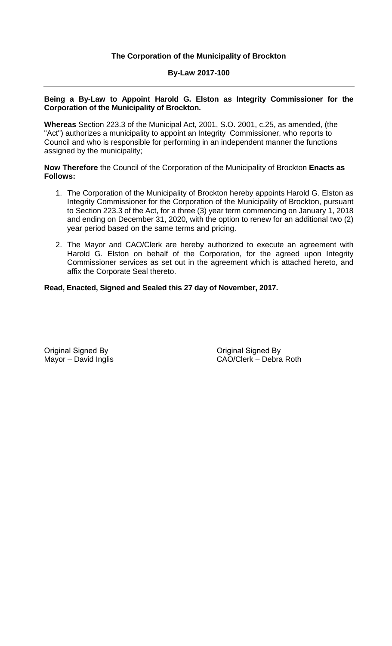## **By-Law 2017-100**

#### **Being a By-Law to Appoint Harold G. Elston as Integrity Commissioner for the Corporation of the Municipality of Brockton.**

**Whereas** Section 223.3 of the Municipal Act, 2001, S.O. 2001, c.25, as amended, (the "Act") authorizes a municipality to appoint an Integrity Commissioner, who reports to Council and who is responsible for performing in an independent manner the functions assigned by the municipality;

**Now Therefore** the Council of the Corporation of the Municipality of Brockton **Enacts as Follows:**

- 1. The Corporation of the Municipality of Brockton hereby appoints Harold G. Elston as Integrity Commissioner for the Corporation of the Municipality of Brockton, pursuant to Section 223.3 of the Act, for a three (3) year term commencing on January 1, 2018 and ending on December 31, 2020, with the option to renew for an additional two (2) year period based on the same terms and pricing.
- 2. The Mayor and CAO/Clerk are hereby authorized to execute an agreement with Harold G. Elston on behalf of the Corporation, for the agreed upon Integrity Commissioner services as set out in the agreement which is attached hereto, and affix the Corporate Seal thereto.

### **Read, Enacted, Signed and Sealed this 27 day of November, 2017.**

Original Signed By Mayor – David Inglis

Original Signed By CAO/Clerk – Debra Roth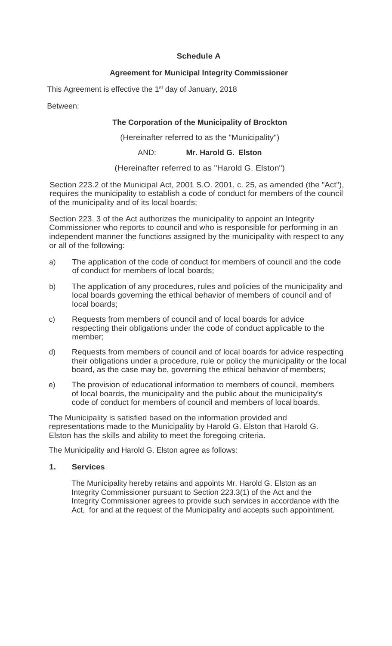## **Schedule A**

## **Agreement for Municipal Integrity Commissioner**

This Agreement is effective the 1<sup>st</sup> day of January, 2018

Between:

## **The Corporation of the Municipality of Brockton**

(Hereinafter referred to as the "Municipality")

AND: **Mr. Harold G. Elston**

(Hereinafter referred to as "Harold G. Elston")

Section 223.2 of the Municipal Act, 2001 S.O. 2001, c. 25, as amended (the "Act"), requires the municipality to establish a code of conduct for members of the council of the municipality and of its local boards;

Section 223. 3 of the Act authorizes the municipality to appoint an Integrity Commissioner who reports to council and who is responsible for performing in an independent manner the functions assigned by the municipality with respect to any or all of the following:

- a) The application of the code of conduct for members of council and the code of conduct for members of local boards;
- b) The application of any procedures, rules and policies of the municipality and local boards governing the ethical behavior of members of council and of local boards;
- c) Requests from members of council and of local boards for advice respecting their obligations under the code of conduct applicable to the member;
- d) Requests from members of council and of local boards for advice respecting their obligations under a procedure, rule or policy the municipality or the local board, as the case may be, governing the ethical behavior of members;
- e) The provision of educational information to members of council, members of local boards, the municipality and the public about the municipality's code of conduct for members of council and members of local boards.

The Municipality is satisfied based on the information provided and representations made to the Municipality by Harold G. Elston that Harold G. Elston has the skills and ability to meet the foregoing criteria.

The Municipality and Harold G. Elston agree as follows:

### **1. Services**

The Municipality hereby retains and appoints Mr. Harold G. Elston as an Integrity Commissioner pursuant to Section 223.3(1) of the Act and the Integrity Commissioner agrees to provide such services in accordance with the Act, for and at the request of the Municipality and accepts such appointment.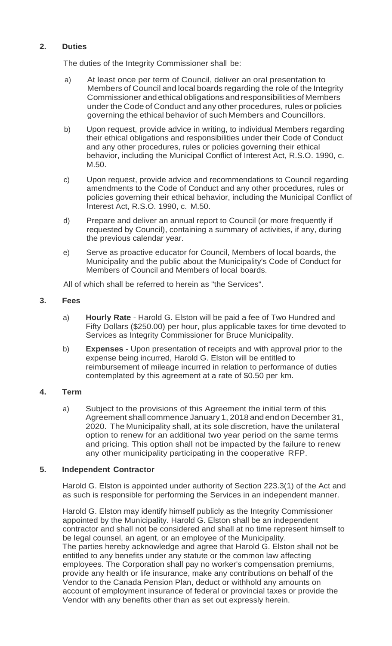# **2. Duties**

The duties of the Integrity Commissioner shall be:

- a) At least once per term of Council, deliver an oral presentation to Members of Council and local boards regarding the role of the Integrity Commissioner and ethical obligations and responsibilities of Members under the Code of Conduct and any other procedures, rules or policies governing the ethical behavior of such Members and Councillors.
- b) Upon request, provide advice in writing, to individual Members regarding their ethical obligations and responsibilities under their Code of Conduct and any other procedures, rules or policies governing their ethical behavior, including the Municipal Conflict of Interest Act, R.S.O. 1990, c. M.50.
- c) Upon request, provide advice and recommendations to Council regarding amendments to the Code of Conduct and any other procedures, rules or policies governing their ethical behavior, including the Municipal Conflict of Interest Act, R.S.O. 1990, c. M.50.
- d) Prepare and deliver an annual report to Council (or more frequently if requested by Council), containing a summary of activities, if any, during the previous calendar year.
- e) Serve as proactive educator for Council, Members of local boards, the Municipality and the public about the Municipality's Code of Conduct for Members of Council and Members of local boards.

All of which shall be referred to herein as "the Services".

#### **3. Fees**

- a) **Hourly Rate**  Harold G. Elston will be paid a fee of Two Hundred and Fifty Dollars (\$250.00) per hour, plus applicable taxes for time devoted to Services as Integrity Commissioner for Bruce Municipality.
- b) **Expenses**  Upon presentation of receipts and with approval prior to the expense being incurred, Harold G. Elston will be entitled to reimbursement of mileage incurred in relation to performance of duties contemplated by this agreement at a rate of \$0.50 per km.

### **4. Term**

a) Subject to the provisions of this Agreement the initial term of this Agreement shall commence January 1, 2018 and end on December 31, 2020. The Municipality shall, at its sole discretion, have the unilateral option to renew for an additional two year period on the same terms and pricing. This option shall not be impacted by the failure to renew any other municipality participating in the cooperative RFP.

### **5. Independent Contractor**

Harold G. Elston is appointed under authority of Section 223.3(1) of the Act and as such is responsible for performing the Services in an independent manner.

Harold G. Elston may identify himself publicly as the Integrity Commissioner appointed by the Municipality. Harold G. Elston shall be an independent contractor and shall not be considered and shall at no time represent himself to be legal counsel, an agent, or an employee of the Municipality. The parties hereby acknowledge and agree that Harold G. Elston shall not be entitled to any benefits under any statute or the common law affecting employees. The Corporation shall pay no worker's compensation premiums, provide any health or life insurance, make any contributions on behalf of the Vendor to the Canada Pension Plan, deduct or withhold any amounts on account of employment insurance of federal or provincial taxes or provide the Vendor with any benefits other than as set out expressly herein.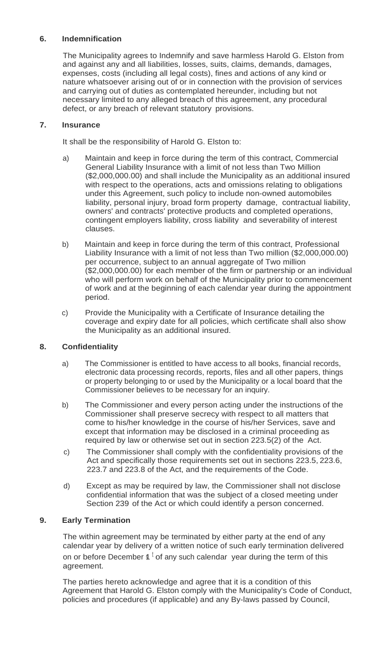# **6. Indemnification**

The Municipality agrees to Indemnify and save harmless Harold G. Elston from and against any and all liabilities, losses, suits, claims, demands, damages, expenses, costs (including all legal costs), fines and actions of any kind or nature whatsoever arising out of or in connection with the provision of services and carrying out of duties as contemplated hereunder, including but not necessary limited to any alleged breach of this agreement, any procedural defect, or any breach of relevant statutory provisions.

## **7. Insurance**

It shall be the responsibility of Harold G. Elston to:

- a) Maintain and keep in force during the term of this contract, Commercial General Liability Insurance with a limit of not less than Two Million (\$2,000,000.00) and shall include the Municipality as an additional insured with respect to the operations, acts and omissions relating to obligations under this Agreement, such policy to include non-owned automobiles liability, personal injury, broad form property damage, contractual liability, owners' and contracts' protective products and completed operations, contingent employers liability, cross liability and severability of interest clauses.
- b) Maintain and keep in force during the term of this contract, Professional Liability Insurance with a limit of not less than Two million (\$2,000,000.00) per occurrence, subject to an annual aggregate of Two million (\$2,000,000.00) for each member of the firm or partnership or an individual who will perform work on behalf of the Municipality prior to commencement of work and at the beginning of each calendar year during the appointment period.
- c) Provide the Municipality with a Certificate of Insurance detailing the coverage and expiry date for all policies, which certificate shall also show the Municipality as an additional insured.

# **8. Confidentiality**

- a) The Commissioner is entitled to have access to all books, financial records, electronic data processing records, reports, files and all other papers, things or property belonging to or used by the Municipality or a local board that the Commissioner believes to be necessary for an inquiry.
- b) The Commissioner and every person acting under the instructions of the Commissioner shall preserve secrecy with respect to all matters that come to his/her knowledge in the course of his/her Services, save and except that information may be disclosed in a criminal proceeding as required by law or otherwise set out in section 223.5(2) of the Act.
- c) The Commissioner shall comply with the confidentiality provisions of the Act and specifically those requirements set out in sections 223.5, 223.6, 223.7 and 223.8 of the Act, and the requirements of the Code.
- d) Except as may be required by law, the Commissioner shall not disclose confidential information that was the subject of a closed meeting under Section 239 of the Act or which could identify a person concerned.

# **9. Early Termination**

The within agreement may be terminated by either party at the end of any calendar year by delivery of a written notice of such early termination delivered on or before December  $\sin \theta$  of any such calendar year during the term of this agreement.

The parties hereto acknowledge and agree that it is a condition of this Agreement that Harold G. Elston comply with the Municipality's Code of Conduct, policies and procedures (if applicable) and any By-laws passed by Council,